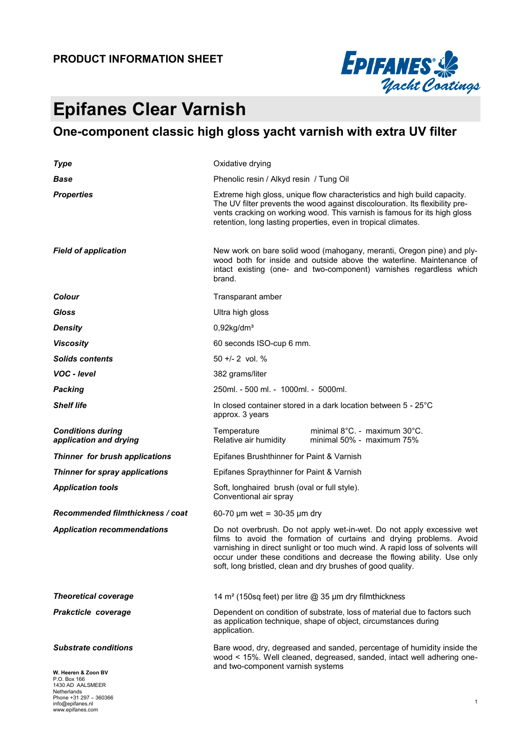#### **PRODUCT INFORMATION SHEET**

www.epifanes.com



# **Epifanes Clear Varnish**

## **One-component classic high gloss yacht varnish with extra UV filter**

| <b>Type</b>                                                                                           | Oxidative drying                                                                                                                                                                                                                                                                                                                                                        |  |  |  |  |
|-------------------------------------------------------------------------------------------------------|-------------------------------------------------------------------------------------------------------------------------------------------------------------------------------------------------------------------------------------------------------------------------------------------------------------------------------------------------------------------------|--|--|--|--|
| Base                                                                                                  | Phenolic resin / Alkyd resin / Tung Oil                                                                                                                                                                                                                                                                                                                                 |  |  |  |  |
| <b>Properties</b>                                                                                     | Extreme high gloss, unique flow characteristics and high build capacity.<br>The UV filter prevents the wood against discolouration. Its flexibility pre-<br>vents cracking on working wood. This varnish is famous for its high gloss<br>retention, long lasting properties, even in tropical climates.                                                                 |  |  |  |  |
| <b>Field of application</b>                                                                           | New work on bare solid wood (mahogany, meranti, Oregon pine) and ply-<br>wood both for inside and outside above the waterline. Maintenance of<br>intact existing (one- and two-component) varnishes regardless which<br>brand.                                                                                                                                          |  |  |  |  |
| Colour                                                                                                | Transparant amber                                                                                                                                                                                                                                                                                                                                                       |  |  |  |  |
| Gloss                                                                                                 | Ultra high gloss                                                                                                                                                                                                                                                                                                                                                        |  |  |  |  |
| <b>Density</b>                                                                                        | $0,92$ kg/dm <sup>3</sup>                                                                                                                                                                                                                                                                                                                                               |  |  |  |  |
| <b>Viscosity</b>                                                                                      | 60 seconds ISO-cup 6 mm.                                                                                                                                                                                                                                                                                                                                                |  |  |  |  |
| <b>Solids contents</b>                                                                                | $50 + 2$ vol. %                                                                                                                                                                                                                                                                                                                                                         |  |  |  |  |
| VOC - level                                                                                           | 382 grams/liter                                                                                                                                                                                                                                                                                                                                                         |  |  |  |  |
| <b>Packing</b>                                                                                        | 250ml. - 500 ml. - 1000ml. - 5000ml.                                                                                                                                                                                                                                                                                                                                    |  |  |  |  |
| <b>Shelf life</b>                                                                                     | In closed container stored in a dark location between 5 - 25°C<br>approx. 3 years                                                                                                                                                                                                                                                                                       |  |  |  |  |
| <b>Conditions during</b><br>application and drying                                                    | minimal 8°C. - maximum 30°C.<br>Temperature<br>Relative air humidity<br>minimal 50% - maximum 75%                                                                                                                                                                                                                                                                       |  |  |  |  |
| Thinner for brush applications                                                                        | Epifanes Brushthinner for Paint & Varnish                                                                                                                                                                                                                                                                                                                               |  |  |  |  |
| Thinner for spray applications                                                                        | Epifanes Spraythinner for Paint & Varnish                                                                                                                                                                                                                                                                                                                               |  |  |  |  |
| <b>Application tools</b>                                                                              | Soft, longhaired brush (oval or full style).<br>Conventional air spray                                                                                                                                                                                                                                                                                                  |  |  |  |  |
| Recommended filmthickness / coat                                                                      | 60-70 $\mu$ m wet = 30-35 $\mu$ m dry                                                                                                                                                                                                                                                                                                                                   |  |  |  |  |
| <b>Application recommendations</b>                                                                    | Do not overbrush. Do not apply wet-in-wet. Do not apply excessive wet<br>films to avoid the formation of curtains and drying problems. Avoid<br>varnishing in direct sunlight or too much wind. A rapid loss of solvents will<br>occur under these conditions and decrease the flowing ability. Use only<br>soft, long bristled, clean and dry brushes of good quality. |  |  |  |  |
| <b>Theoretical coverage</b>                                                                           | 14 m <sup>2</sup> (150sq feet) per litre @ 35 µm dry filmthickness                                                                                                                                                                                                                                                                                                      |  |  |  |  |
| Prakcticle coverage                                                                                   | Dependent on condition of substrate, loss of material due to factors such<br>as application technique, shape of object, circumstances during<br>application.                                                                                                                                                                                                            |  |  |  |  |
| <b>Substrate conditions</b><br>W. Heeren & Zoon BV<br>P.O. Box 166<br>1430 AD AALSMEER<br>Netherlands | Bare wood, dry, degreased and sanded, percentage of humidity inside the<br>wood < 15%. Well cleaned, degreased, sanded, intact well adhering one-<br>and two-component varnish systems                                                                                                                                                                                  |  |  |  |  |
| Phone +31 297 - 360366<br>info@epifanes.nl                                                            | 1                                                                                                                                                                                                                                                                                                                                                                       |  |  |  |  |